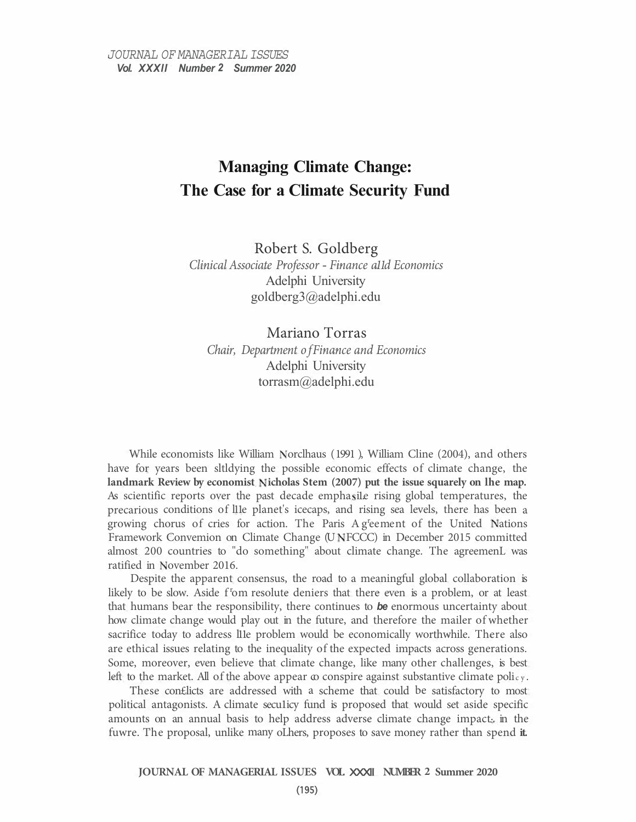# **Managing Climate Change: The Case for a Climate Security Fund**

Robert S. Goldberg *Clinical Associate Professor* - *Finance a11d Economics*  Adelphi University goldberg3@adelphi.edu

Mariano Torras *Chair, Department of Finance and Economics*  Adelphi University torrasm@adelphi.edu

While economists like William Norclhaus (1991), William Cline (2004), and others have for years been sltldying the possible economic effects of climate change, the landmark Review by economist Nicholas Stem (2007) put the issue squarely on lhe map. As scientific reports over the past decade emphasile rising global temperatures, the precarious conditions of l11e planet's icecaps, and rising sea levels, there has been a growing chorus of cries for action. The Paris Ag<sup>r</sup>eement of the United Nations Framework Convemion on Climate Change (U FCCC) in December 2015 committed almost 200 countries to "do something" about climate change. The agreemenL was ratified in November 2016.

Despite the apparent consensus, the road to a meaningful global collaboration is likely to be slow. Aside f<sup>r</sup>om resolute deniers that there even is a problem, or at least that humans bear the responsibility, there continues to *be* enormous uncertainty about how climate change would play out in the future, and therefore the mailer of whether sacrifice today to address l11e problem would be economically worthwhile. There also are ethical issues relating to the inequality of the expected impacts across generations. Some, moreover, even believe that climate change, like many other challenges, is best left to the market. All of the above appear  $\infty$  conspire against substantive climate policy.

These con£licts are addressed with a scheme that could be satisfactory to most political antagonists. A climate seculicy fund is proposed that would set aside specific amounts on an annual basis to help address adverse climate change impact· in the fuwre. The proposal, unlike many oLhers, proposes to save money rather than spend **it.**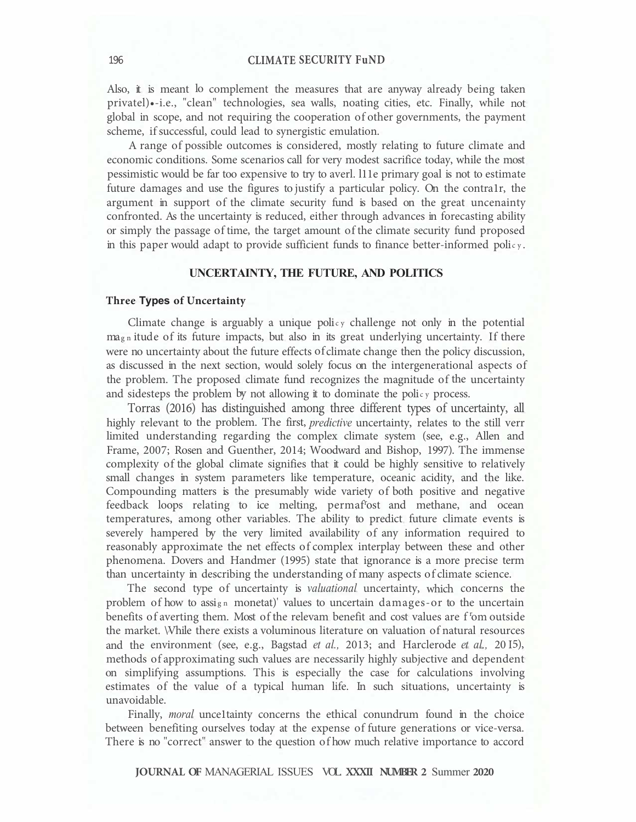Also, it is meant lo complement the measures that are anyway already being taken privatel)•-i.e., "clean" technologies, sea walls, noating cities, etc. Finally, while not global in scope, and not requiring the cooperation of other governments, the payment scheme, if successful, could lead to synergistic emulation.

A range of possible outcomes is considered, mostly relating to future climate and economic conditions. Some scenarios call for very modest sacrifice today, while the most pessimistic would be far too expensive to try to averl. l11e primary goal is not to estimate future damages and use the figures to justify a particular policy. On the contra1r, the argument in support of the climate security fund is based on the great uncenainty confronted. As the uncertainty is reduced, either through advances in forecasting ability or simply the passage of time, the target amount of the climate security fund proposed in this paper would adapt to provide sufficient funds to finance better-informed policy.

# **UNCERTAINTY, THE FUTURE, AND POLITICS**

#### **Three Types of Uncertainty**

Climate change is arguably a unique policy challenge not only in the potential magn itude of its future impacts, but also in its great underlying uncertainty. If there were no uncertainty about the future effects of climate change then the policy discussion, as discussed in the next section, would solely focus on the intergenerational aspects of the problem. The proposed climate fund recognizes the magnitude of the uncertainty and sidesteps the problem by not allowing it to dominate the policy process.

Torras (2016) has distinguished among three different types of uncertainty, all highly relevant to the problem. The first, *predictive* uncertainty, relates to the still verr limited understanding regarding the complex climate system (see, e.g., Allen and Frame, 2007; Rosen and Guenther, 2014; Woodward and Bishop, 1997). The immense complexity of the global climate signifies that it could be highly sensitive to relatively small changes in system parameters like temperature, oceanic acidity, and the like. Compounding matters is the presumably wide variety of both positive and negative feedback loops relating to ice melting, permaf<sup>r</sup>ost and methane, and ocean temperatures, among other variables. The ability to predict future climate events is severely hampered by the very limited availability of any information required to reasonably approximate the net effects of complex interplay between these and other phenomena. Dovers and Handmer (1995) state that ignorance is a more precise term than uncertainty in describing the understanding of many aspects of climate science.

The second type of uncertainty is *valuational* uncertainty, which concerns the problem of how to assign monetat)' values to uncertain damages-or to the uncertain benefits of averting them. Most of the relevam benefit and cost values are f om outside the market. \Vhile there exists a voluminous literature on valuation of natural resources and the environment (see, e.g., Bagstad *et al.*, 2013; and Harclerode *et al.*, 2015), methods of approximating such values are necessarily highly subjective and dependent on simplifying assumptions. This is especially the case for calculations involving estimates of the value of a typical human life. In such situations, uncertainty is unavoidable.

Finally, *moral* unce1tainty concerns the ethical conundrum found in the choice between benefiting ourselves today at the expense of future generations or vice-versa. There is no "correct" answer to the question of how much relative importance to accord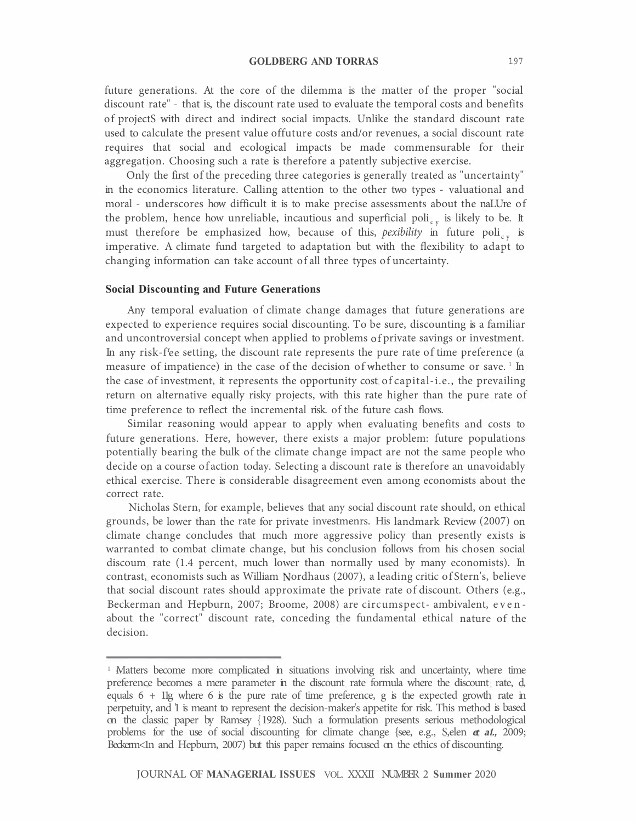future generations. At the core of the dilemma is the matter of the proper "social discount rate" - that is, the discount rate used to evaluate the temporal costs and benefits of projectS with direct and indirect social impacts. Unlike the standard discount rate used to calculate the present value offuture costs and/or revenues, a social discount rate requires that social and ecological impacts be made commensurable for their aggregation. Choosing such a rate is therefore a patently subjective exercise.

Only the first of the preceding three categories is generally treated as "uncertainty" in the economics literature. Calling attention to the other two types - valuational and moral - underscores how difficult it is to make precise assessments about the naLUre of the problem, hence how unreliable, incautious and superficial poli<sub>cy</sub> is likely to be. It must therefore be emphasized how, because of this, *pexibility* in future poli<sub>cy</sub> is imperative. A climate fund targeted to adaptation but with the flexibility to adapt to changing information can take account of all three types of uncertainty.

#### **Social Discounting and Future Generations**

Any temporal evaluation of climate change damages that future generations are expected to experience requires social discounting. To be sure, discounting is a familiar and uncontroversial concept when applied to problems of private savings or investment. In any risk-f'ee setting, the discount rate represents the pure rate of time preference (a measure of impatience) in the case of the decision of whether to consume or save.  $\frac{1}{2}$  In the case of investment, it represents the opportunity cost of capital-i.e., the prevailing return on alternative equally risky projects, with this rate higher than the pure rate of time preference to reflect the incremental risk. of the future cash flows.

Similar reasoning would appear to apply when evaluating benefits and costs to future generations. Here, however, there exists a major problem: future populations potentially bearing the bulk of the climate change impact are not the same people who decide on a course of action today. Selecting a discount rate is therefore an unavoidably ethical exercise. There is considerable disagreement even among economists about the correct rate.

Nicholas Stern, for example, believes that any social discount rate should, on ethical grounds, be lower than the rate for private investmenrs. His landmark Review (2007) on climate change concludes that much more aggressive policy than presently exists is warranted to combat climate change, but his conclusion follows from his chosen social discoum rate (1.4 percent, much lower than normally used by many economists). In contrast, economists such as William Nordhaus (2007), a leading critic of Stern's, believe that social discount rates should approximate the private rate of discount. Others (e.g., Beckerman and Hepburn, 2007; Broome, 2008) are circumspect- ambivalent, evenabout the "correct" discount rate, conceding the fundamental ethical nature of the decision.

<sup>&</sup>lt;sup>1</sup> Matters become more complicated in situations involving risk and uncertainty, where time preference becomes a mere parameter in the discount rate formula where the discount rate, d, equals  $6 + 11g$  where 6 is the pure rate of time preference, g is the expected growth rate in perpetuity, and '1 is meant to represent the decision-maker's appetite for risk. This method is based on the classic paper by Ramsey { 1928). Such a formulation presents serious methodological problems for the use of social discounting for climate change {see, e.g., S,elen **et al.,** 2009; Beckerm<1n and Hepburn, 2007) but this paper remains focused on the ethics of discounting.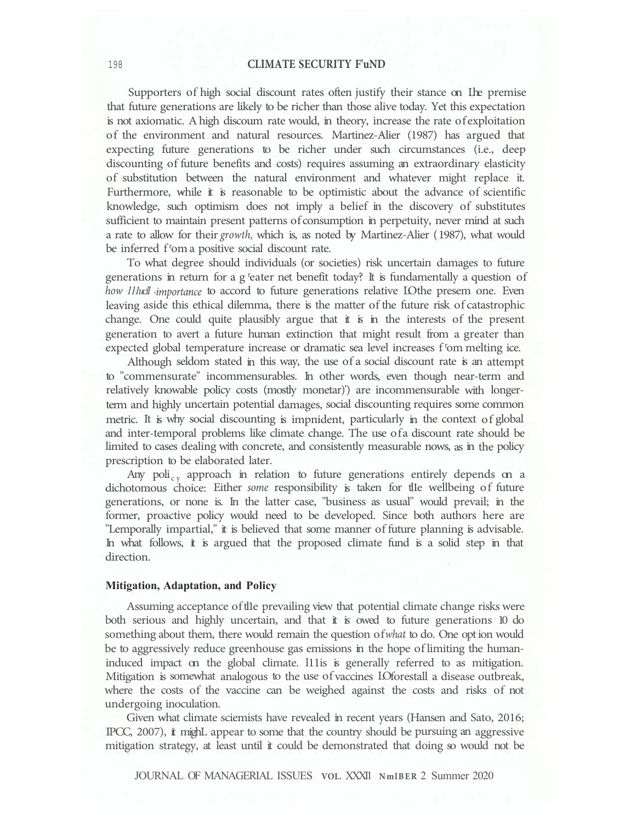Supporters of high social discount rates often justify their stance on The premise that future generations are likely to be richer than those alive today. Yet this expectation is not axiomatic. A high discoum rate would, in theory, increase the rate of exploitation of the environment and natural resources. Martinez-Alier (1987) has argued that expecting future generations to be richer under such circumstances (i.e., deep discounting of future benefits and costs) requires assuming an extraordinary elasticity of substitution between the natural environment and whatever might replace it. Furthermore, while it is reasonable to be optimistic about the advance of scientific knowledge, such optimism does not imply a belief in the discovery of substitutes sufficient to maintain present patterns of consumption in perpetuity, never mind at such a rate to allow for their *growth,* which is, as noted by Martinez-Alier ( 1987), what would be inferred f<sup>r</sup>om a positive social discount rate.

To what degree should individuals (or societies) risk uncertain damages to future generations in return for a g <sup>r</sup>eater net benefit today? It is fundamentally a question of *how IIIucll importance* to accord to future generations relative LOthe presem one. Even leaving aside this ethical dilemma, there is the matter of the future risk of catastrophic change. One could quite plausibly argue that  $\ddot{\textbf{i}}$  is in the interests of the present generation to avert a future human extinction that might result from a greater than expected global temperature increase or dramatic sea level increases f<sup>r</sup>om melting ice.

Although seldom stated in this way, the use of a social discount rate is an attempt to "commensurate" incommensurables. In other words, even though near-term and relatively knowable policy costs (mostly monetar)') are incommensurable with longerterm and highly uncertain potential damages, social discounting requires some common metric. It is why social discounting is impnident, particularly in the context of global and inter-temporal problems like climate change. The use ofa discount rate should be limited to cases dealing with concrete, and consistently measurable nows, as in the policy prescription to be elaborated later.

Any poli<sub>cy</sub> approach in relation to future generations entirely depends on a dichotomous choice: Either *some* responsibility is taken for tl1e wellbeing of future generations, or none is. In the latter case, "business as usual" would prevail; in the former, proactive policy would need to be developed. Since both authors here are "Lemporally impartial," it is believed that some manner of future planning is advisable. In what follows, it is argued that the proposed climate fund is a solid step in that direction.

#### **Mitigation, Adaptation, and Policy**

Assuming acceptance of the prevailing view that potential climate change risks were both serious and highly uncertain, and that it is owed to future generations 10 do something about them, there would remain the question of *what* to do. One opt ion would be to aggressively reduce greenhouse gas emissions in the hope of limiting the humaninduced impact on the global climate. l11is is generally referred to as mitigation. Mitigation is somewhat analogous to the use of vaccines LO forestall a disease outbreak, where the costs of the vaccine can be weighed against the costs and risks of not undergoing inoculation.

Given what climate sciemists have revealed in recent years (Hansen and Sato, 2016; IPCC, 2007), it mighL appear to some that the country should be pursuing an aggressive mitigation strategy, at least until it could be demonstrated that doing so would not be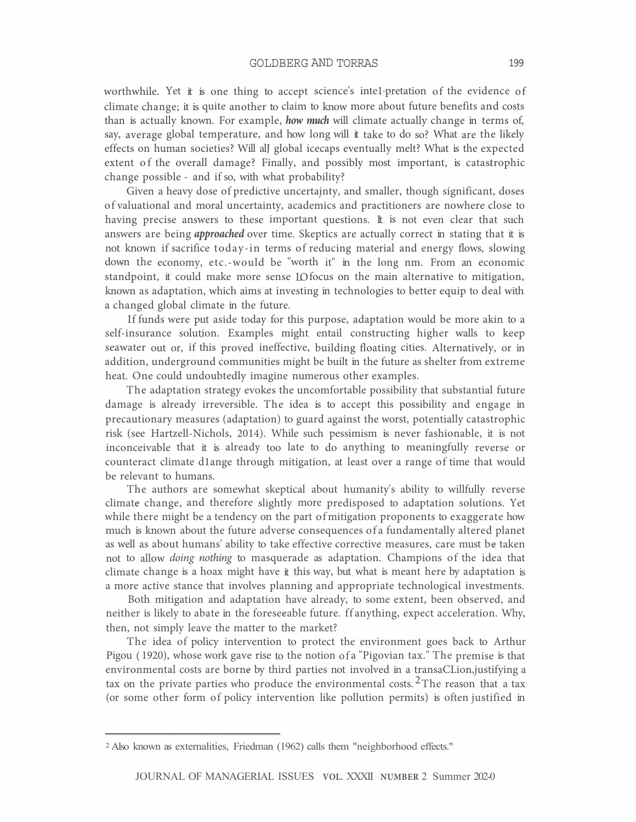worthwhile. Yet it is one thing to accept science's inte1·pretation of the evidence of climate change; it is quite another to claim to know more about future benefits and costs than is actually known. For example, *how much* will climate actually change in terms of, say, average global temperature, and how long will it take to do so? What are the likely effects on human societies? Will alJ global icecaps eventually melt? What is the expected extent of the overall damage? Finally, and possibly most important, is catastrophic change possible - and if so, with what probability?

Given a heavy dose of predictive uncertajnty, and smaller, though significant, doses of valuational and moral uncertainty, academics and practitioners are nowhere close to having precise answers to these important questions. It is not even clear that such answers are being *approached* over time. Skeptics are actually correct in stating that it is not known if sacrifice today-in terms of reducing material and energy flows, slowing down the economy, etc.-would be "worth it" in the long nm. From an economic standpoint, it could make more sense LO focus on the main alternative to mitigation, known as adaptation, which aims at investing in technologies to better equip to deal with a changed global climate in the future.

If funds were put aside today for this purpose, adaptation would be more akin to a self-insurance solution. Examples might entail constructing higher walls to keep seawater out or, if this proved ineffective, building floating cities. Alternatively, or in addition, underground communities might be built in the future as shelter from extreme heat. One could undoubtedly imagine numerous other examples.

The adaptation strategy evokes the uncomfortable possibility that substantial future damage is already irreversible. The idea is to accept this possibility and engage in precautionary measures (adaptation) to guard against the worst, potentially catastrophic risk (see Hartzell-Nichols, 2014). While such pessimism is never fashionable, it is not inconceivable that it is already too late to do anything to meaningfully reverse or counteract climate d1ange through mitigation, at least over a range of time that would be relevant to humans.

The authors are somewhat skeptical about humanity's ability to willfully reverse climate change, and therefore slightly more predisposed to adaptation solutions. Yet while there might be a tendency on the part of mitigation proponents to exaggerate how much is known about the future adverse consequences of a fundamentally altered planet as well as about humans' ability to take effective corrective measures, care must be taken not to allow *doing nothing* to masquerade as adaptation. Champions of the idea that climate change is a hoax might have it this way, but what is meant here by adaptation is a more active stance that involves planning and appropriate technological investments.

Both mitigation and adaptation have already, to some extent, been observed, and neither is likely to abate in the foreseeable future. ff anything, expect acceleration. Why, then, not simply leave the matter to the market?

The idea of policy intervention to protect the environment goes back to Arthur Pigou (1920), whose work gave rise to the notion of a "Pigovian tax." The premise is that environmental costs are borne by third parties not involved in a transaCLion,justifying a tax on the private parties who produce the environmental costs.  $2$  The reason that a tax (or some other form of policy intervention like pollution permits) is often justified in

<sup>2</sup> Also known as externalities, Friedman (1962) calls them "neighborhood effects."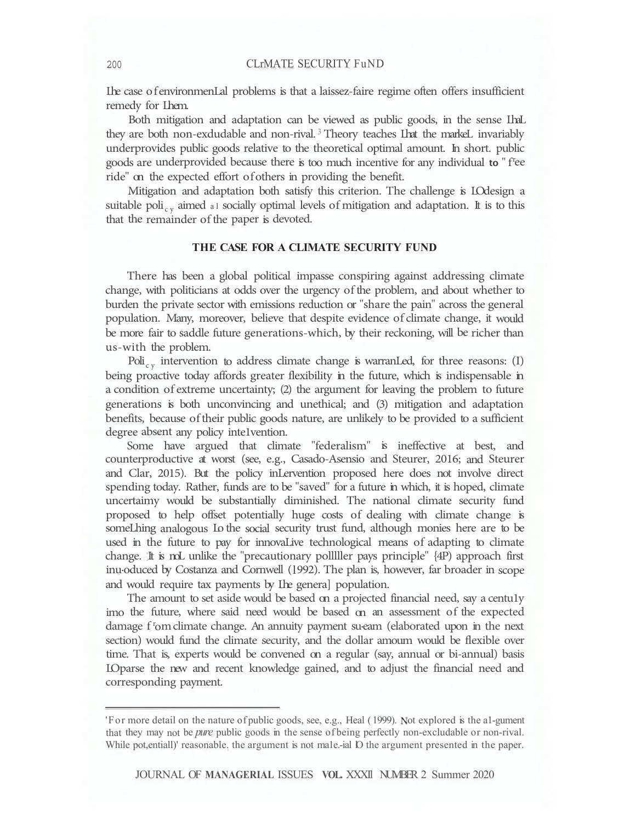Lhe case of environmenLal problems is that a laissez-faire regime often offers insufficient remedy for Lhem.

Both mitigation and adaptation can be viewed as public goods, in the sense LhaL they are both non-exdudable and non-rival. <sup>3</sup>Theory teaches Lhat the markeL invariably underprovides public goods relative to the theoretical optimal amount. In short. public goods are underprovided because there is too much incentive for any individual **to** " f<sup>r</sup>ee ride" on the expected effort of others in providing the benefit.

Mitigation and adaptation both satisfy this criterion. The challenge is LO design a suitable poli<sub>cy</sub> aimed al socially optimal levels of mitigation and adaptation. It is to this that the remainder of the paper is devoted.

## **THE CASE FOR A CLIMATE SECURITY FUND**

There has been a global political impasse conspiring against addressing climate change, with politicians at odds over the urgency of the problem, and about whether to burden the private sector with emissions reduction or "share the pain" across the general population. Many, moreover, believe that despite evidence of climate change, it would be more fair to saddle future generations-which, by their reckoning, will be richer than us-with the problem.

Poli<sub>cy</sub> intervention to address climate change is warranLed, for three reasons: (I) being proactive today affords greater flexibility in the future, which is indispensable in a condition of extreme uncertainty; (2) the argument for leaving the problem to future generations is both unconvincing and unethical; and (3) mitigation and adaptation benefits, because of their public goods nature, are unlikely to be provided to a sufficient degree absent any policy intelvention.

Some have argued that climate "federalism" is ineffective at best, and counterproductive at worst (see, e.g., Casado-Asensio and Steurer, 2016; and Steurer and Clar, 2015). But the policy inLervention proposed here does not involve direct spending today. Rather, funds are to be "saved" for a future in which, it is hoped, climate uncertaimy would be substantially diminished. The national climate security fund proposed to help offset potentially huge costs of dealing with climate change is someLhing analogous Lo the social security trust fund, although monies here are to be used in the future to pay for innovaLive technological means of adapting to climate change. It is noL unlike the "precautionary polllller pays principle" {4P) approach first inu-oduced by Costanza and Cornwell (1992). The plan is, however, far broader in scope and would require tax payments by Lhe genera] population.

The amount to set aside would be based on a projected financial need, say a centu1y imo the future, where said need would be based on an assessment of the expected damage f<sup>r</sup>om climate change. An annuity payment su-eam (elaborated upon in the next section) would fund the climate security, and the dollar amoum would be flexible over time. That is, experts would be convened on a regular (say, annual or bi-annual) basis LO parse the new and recent knowledge gained, and to adjust the financial need and corresponding payment.

<sup>&#</sup>x27;For more detail on the nature of public goods, see, e.g., Heal (1999). Not explored is the al-gument that they may not be *pure* public goods in the sense of being perfectly non-excludable or non-rival. While pot, entiall)' reasonable, the argument is not ma1e,-ial D the argument presented in the paper.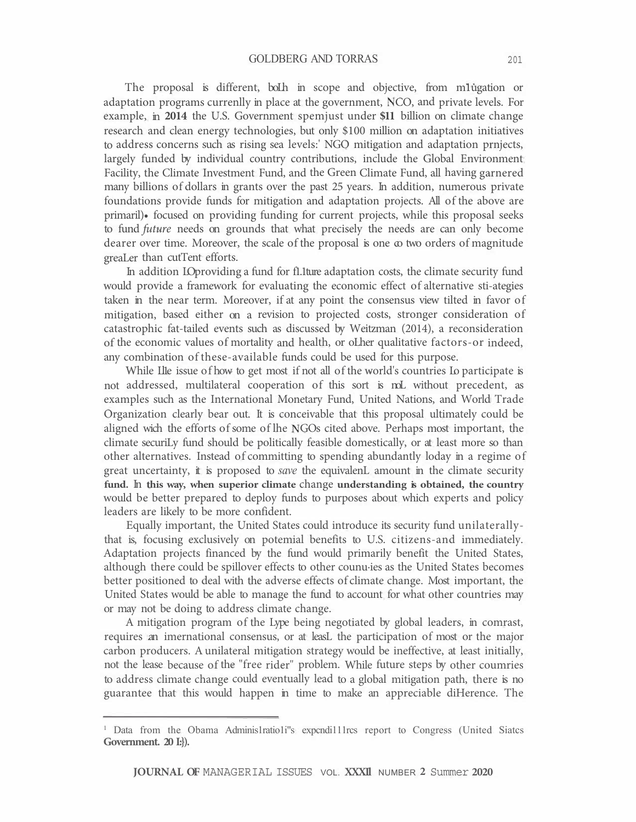The proposal is different, boLh in scope and objective, from m1ugation or adaptation programs currenlly in place at the government, NCO, and private levels. For example, in **2014** the U.S. Government spemjust under **\$11** billion on climate change research and clean energy technologies, but only \$100 million on adaptation initiatives to address concerns such as rising sea levels:' NGO mitigation and adaptation prnjects, largely funded by individual country contributions, include the Global Environment Facility, the Climate Investment Fund, and the Green Climate Fund, all having garnered many billions of dollars in grants over the past 25 years. In addition, numerous private foundations provide funds for mitigation and adaptation projects. All of the above are primaril)• focused on providing funding for current projects, while this proposal seeks to fund *future* needs on grounds that what precisely the needs are can only become dearer over time. Moreover, the scale of the proposal is one  $\infty$  two orders of magnitude greaLer than cutTent efforts.

In addition LO providing a fund for fl. Iture adaptation costs, the climate security fund would provide a framework for evaluating the economic effect of alternative sti-ategies taken in the near term. Moreover, if at any point the consensus view tilted in favor of mitigation, based either on a revision to projected costs, stronger consideration of catastrophic fat-tailed events such as discussed by Weitzman (2014), a reconsideration of the economic values of mortality and health, or oLher qualitative factors-or indeed, any combination of these-available funds could be used for this purpose.

While Lle issue of how to get most if not all of the world's countries Lo participate is not addressed, multilateral cooperation of this sort is noL without precedent, as examples such as the International Monetary Fund, United Nations, and World Trade Organization clearly bear out. It is conceivable that this proposal ultimately could be aligned wich the efforts of some of lhe GOs cited above. Perhaps most important, the climate securiLy fund should be politically feasible domestically, or at least more so than other alternatives. Instead of committing to spending abundantly loday in a regime of great uncertainty, it is proposed to *save* the equivalenL amount in the climate security **fund.** In **this way, when superior climate** change **understanding is obtained, the country**  would be better prepared to deploy funds to purposes about which experts and policy leaders are likely to be more confident.

Equally important, the United States could introduce its security fund unilaterallythat is, focusing exclusively on potemial benefits to U.S. citizens-and immediately. Adaptation projects financed by the fund would primarily benefit the United States, although there could be spillover effects to other counu·ies as the United States becomes better positioned to deal with the adverse effects of climate change. Most important, the United States would be able to manage the fund to account for what other countries may or may not be doing to address climate change.

A mitigation program of the Lype being negotiated by global leaders, in comrast, requires an imernational consensus, or at leasL the participation of most or the major carbon producers. A unilateral mitigation strategy would be ineffective, at least initially, not the lease because of the "free rider" problem. While future steps by other coumries to address climate change could eventually lead to a global mitigation path, there is no guarantee that this would happen in time to make an appreciable diHerence. The

<sup>&</sup>lt;sup>1</sup> Data from the Obama Adminis1ratio1i"s expendi111rcs report to Congress (United Siatcs **Government. 20 I:}).**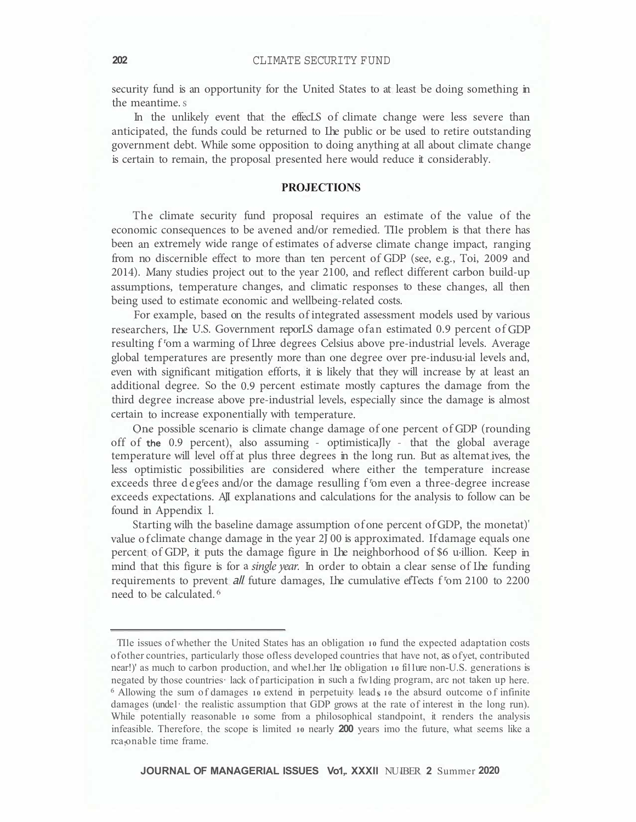security fund is an opportunity for the United States to at least be doing something in the meantime. s

In the unlikely event that the effecLS of climate change were less severe than anticipated, the funds could be returned to Lhe public or be used to retire outstanding government debt. While some opposition to doing anything at all about climate change is certain to remain, the proposal presented here would reduce it considerably.

# **PROJECTIONS**

The climate security fund proposal requires an estimate of the value of the economic consequences to be avened and/or remedied. TI1e problem is that there has been an extremely wide range of estimates of adverse climate change impact, ranging from no discernible effect to more than ten percent of GDP (see, e.g., Toi, 2009 and 2014). Many studies project out to the year 2100, and reflect different carbon build-up assumptions, temperature changes, and climatic responses to these changes, all then being used to estimate economic and wellbeing-related costs.

For example, based on the results of integrated assessment models used by various researchers, Lhe U.S. Government reporLS damage ofan estimated 0.9 percent of GDP resulting f <sup>r</sup>om a warming of Lhree degrees Celsius above pre-industrial levels. Average global temperatures are presently more than one degree over pre-indusu·ial levels and, even with significant mitigation efforts, it is likely that they will increase by at least an additional degree. So the 0.9 percent estimate mostly captures the damage from the third degree increase above pre-industrial levels, especially since the damage is almost certain to increase exponentially with temperature.

One possible scenario is climate change damage of one percent of GDP (rounding off of the 0.9 percent), also assuming - optimisticaJly - that the global average temperature will level off at plus three degrees in the long run. But as altemat ives, the less optimistic possibilities are considered where either the temperature increase exceeds three deg'ees and/or the damage resulling f'om even a three-degree increase exceeds expectations. AJI explanations and calculations for the analysis to follow can be found in Appendix l.

Starting wilh the baseline damage assumption of one percent of GDP, the monetat)' value of climate change damage in the year 2J 00 is approximated. If damage equals one percent of GDP, it puts the damage figure in Lhe neighborhood of \$6 u·illion. Keep in mind that this figure is for a *single year*. In order to obtain a clear sense of Ihe funding requirements to prevent *all* future damages, Ihe cumulative effects f<sup>r</sup>om 2100 to 2200 need to be calculated. <sup>6</sup>

**JOURNAL OF MANAGERIAL ISSUES Vo1,. XXXIl** NU IBER **2** Summer **2020** 

TI1e issues of whether the United States has an obligation **10** fund the expected adaptation costs of other countries, particularly those ofless developed countries that have not, as of yet, contributed near!)' as much to carbon production, and whel her 1 he obligation **10** fillure non-U.S. generations is negated by those countries· lack of participation in such a fw1ding program, arc not taken up here. <sup>6</sup> Allowing the sum of damages 10 extend in perpetuity leads 10 the absurd outcome of infinite damages (unde1· the realistic assumption that GDP grows at the rate of interest in the long run). While potentially reasonable **10** some from a philosophical standpoint, it renders the analysis infeasible. Therefore. the scope is limited **10** nearly **200** years imo the future, what seems like a rca onable time frame.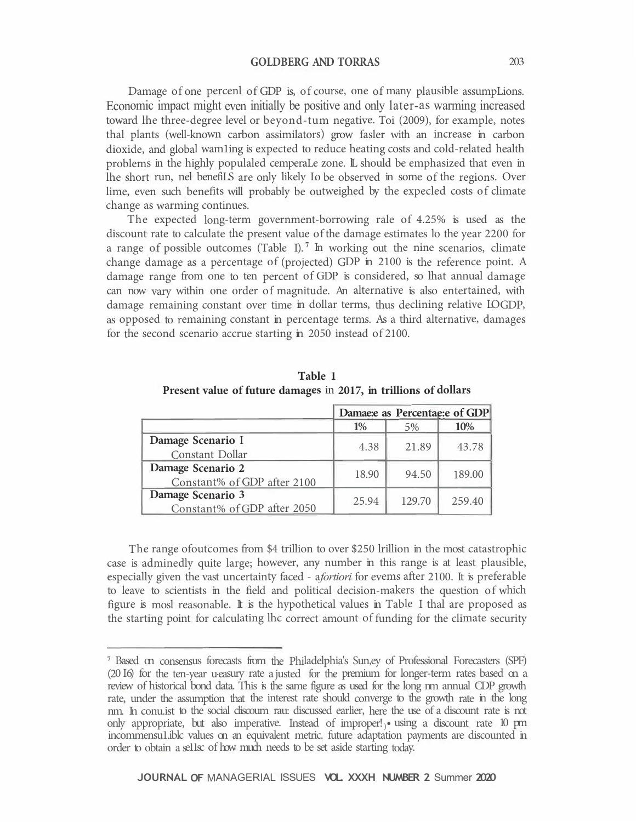**GOLDBERG AND TORRAS** 203

Damage of one percenl of GDP is, of course, one of many plausible assumpLions. Economic impact might even initially be positive and only later-as warming increased toward lhe three-degree level or beyond-tum negative. Toi (2009), for example, notes thal plants (well-known carbon assimilators) grow fasler with an increase in carbon dioxide, and global wam1ing is expected to reduce heating costs and cold-related health problems in the highly populaled cemperaLe zone. L should be emphasized that even in lhe short run, nel benefiLS are only likely Lo be observed in some of the regions. Over lime, even such benefits will probably be outweighed by the expecled costs of climate change as warming continues.

The expected long-term government-borrowing rale of 4.25% is used as the discount rate to calculate the present value of the damage estimates lo the year 2200 for a range of possible outcomes (Table I). **<sup>7</sup>**In working out the nine scenarios, climate change damage as a percentage of (projected) GDP in 2100 is the reference point. A damage range from one to ten percent of GDP is considered, so lhat annual damage can now vary within one order of magnitude. An alternative is also entertained, with damage remaining constant over time in dollar terms, thus declining relative LOGDP, as opposed to remaining constant in percentage terms. As a third alternative, damages for the second scenario accrue starting in 2050 instead of 2100.

|                             | Damae: e as Percentae: e of GDP |        |        |
|-----------------------------|---------------------------------|--------|--------|
|                             | $1\%$                           | 5%     | 10%    |
| Damage Scenario I           | 4.38                            | 21.89  | 43.78  |
| Constant Dollar             |                                 |        |        |
| Damage Scenario 2           | 18.90                           | 94.50  | 189.00 |
| Constant% of GDP after 2100 |                                 |        |        |
| Damage Scenario 3           | 25.94                           | 129.70 | 259.40 |
| Constant% of GDP after 2050 |                                 |        |        |

**Table 1 Present value of future damages** in **2017, in trillions of dollars** 

The range ofoutcomes from \$4 trillion to over \$250 lrillion in the most catastrophic case is adminedly quite large; however, any number in this range is at least plausible, especially given the vast uncertainty faced - <sup>a</sup>*fortiori* for evems after 2100. It is preferable to leave to scientists in the field and political decision-makers the question of which figure is mosl reasonable. It is the hypothetical values in Table I thal are proposed as the starting point for calculating lhc correct amount of funding for the climate security

**<sup>7</sup>**Based on consensus forecasts from the Philadelphia's Sun,ey of Professional Forecasters (SPF) (20 I6) for the ten-year u-easury rate a justed for the premium for longer-term rates based on a review of historical bond data. This is the same figure as used for the long rm annual CDP growth rate, under the assumption that the interest rate should converge to the growth rate in the long nm. In conu.ist to the social cliscoum rau: discussed earlier, here the use of a discount rate is not only appropriate, but also imperative. Instead of improper!) • using a discount rate 10 pm incommensu1.iblc values on an equivalent metric. future adaptation payments are discounted in order to obtain a se11sc of how much needs to be set aside starting today.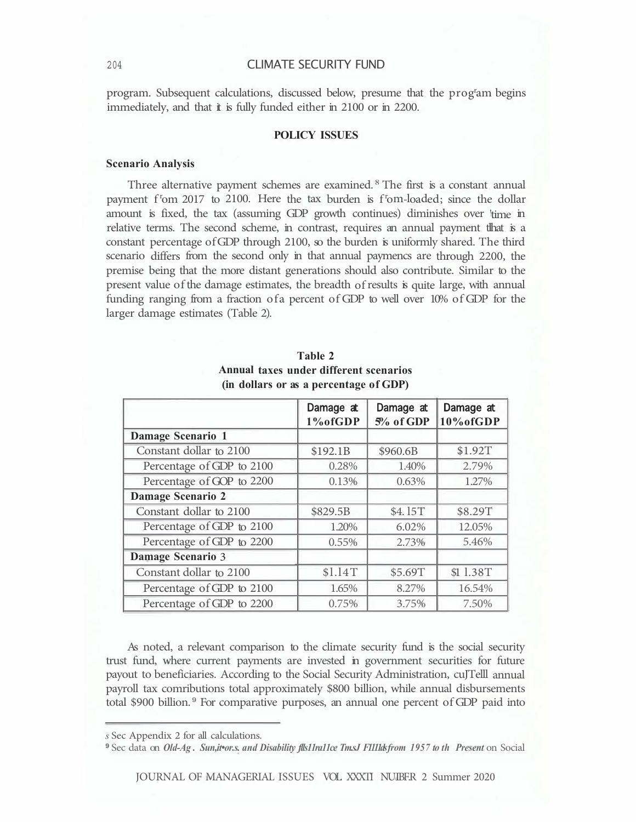program. Subsequent calculations, discussed below, presume that the prog<sup>r</sup>am begins immediately, and that it is fully funded either in 2100 or in 2200.

# **POLICY ISSUES**

#### **Scenario Analysis**

Three alternative payment schemes are examined. <sup>8</sup> The first is a constant annual payment f<sup>r</sup>om 2017 to 2100. Here the tax burden is f<sup>r</sup>om-loaded; since the dollar amount is fixed, the tax (assuming GDP growth continues) diminishes over 'time in relative terms. The second scheme, in contrast, requires an annual payment tlhat is a constant percentage of GDP through 2100, so the burden is uniformly shared. The third scenario differs from the second only in that annual paymencs are through 2200, the premise being that the more distant generations should also contribute. Similar to the present value of the damage estimates, the breadth of results is quite large, with annual funding ranging from a fraction ofa percent of GDP to well over 10% of GDP for the larger damage estimates (Table 2).

|                           | Damage at<br>1% of GDP | Damage at<br>5% of GDP | Damage at<br>10% of GDP |
|---------------------------|------------------------|------------------------|-------------------------|
| <b>Damage Scenario 1</b>  |                        |                        |                         |
| Constant dollar to 2100   | \$192.1B               | \$960.6B               | \$1.92T                 |
| Percentage of GDP to 2100 | 0.28%                  | 1.40%                  | 2.79%                   |
| Percentage of GOP to 2200 | 0.13%                  | 0.63%                  | 1.27%                   |
| <b>Damage Scenario 2</b>  |                        |                        |                         |
| Constant dollar to 2100   | \$829.5B               | \$4.15T                | \$8.29T                 |
| Percentage of GDP to 2100 | 1.20%                  | 6.02%                  | 12.05%                  |
| Percentage of GDP to 2200 | 0.55%                  | 2.73%                  | 5.46%                   |
| <b>Damage Scenario 3</b>  |                        |                        |                         |
| Constant dollar to 2100   | \$1.14T                | \$5.69T                | \$1 1.38T               |
| Percentage of GDP to 2100 | 1.65%                  | 8.27%                  | 16.54%                  |
| Percentage of GDP to 2200 | 0.75%                  | 3.75%                  | 7.50%                   |

**Table 2 Annual taxes under different scenarios (in dollars or as a percentage of GDP)** 

As noted, a relevant comparison to the climate security fund is the social security trust fund, where current payments are invested in government securities for future payout to beneficiaries. According to the Social Security Administration, cuJTelll annual payroll tax comributions total approximately \$800 billion, while annual disbursements total \$900 billion.<sup>9</sup> For comparative purposes, an annual one percent of GDP paid into

*s* Sec Appendix 2 for all calculations.

**<sup>9</sup>**Sec data on *Old-Ag . Sun,it•or.s. and Disability flls11ra11ce Tm.sJ F1111ds from 1957 to th Present* on Social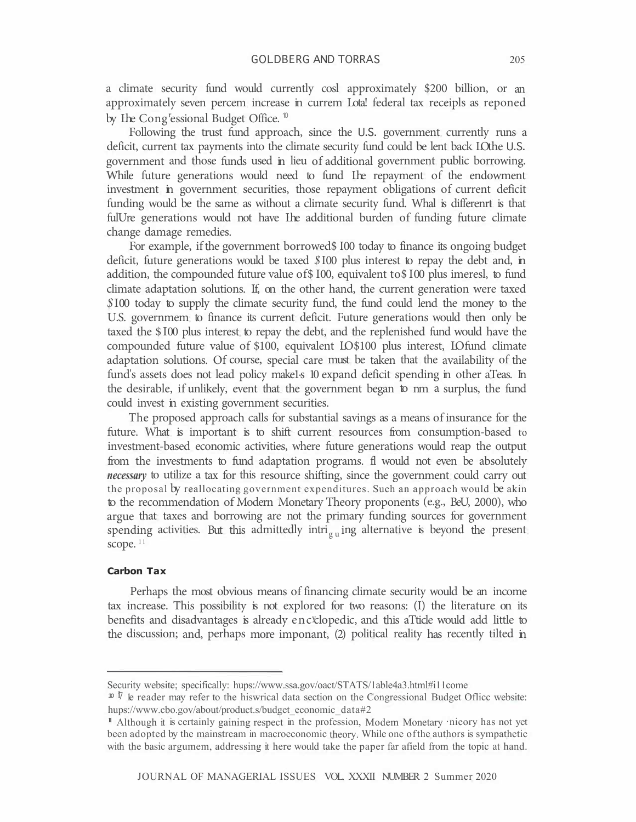a climate security fund would currently cosl approximately \$200 billion, or an approximately seven percem increase in currem Lota! federal tax receipls as reponed by Ihe Cong<sup>r</sup>essional Budget Office.<sup>10</sup>

Following the trust fund approach, since the U.S. government currently runs a deficit, current tax payments into the climate security fund could be lent back LOthe U.S. government and those funds used in lieu of additional government public borrowing. While future generations would need to fund Lhe repayment of the endowment investment in government securities, those repayment obligations of current deficit funding would be the same as without a climate security fund. Whal is differenrt is that fulUre generations would not have Ihe additional burden of funding future climate change damage remedies.

For example, if the government borrowed\$ 100 today to finance its ongoing budget deficit, future generations would be taxed \$100 plus interest to repay the debt and, in addition, the compounded future value of \$100, equivalent to \$100 plus imeresl, to fund climate adaptation solutions. If, on the other hand, the current generation were taxed  $$100$  today to supply the climate security fund, the fund could lend the money to the U.S. governmem to finance its current deficit. Future generations would then only be taxed the \$100 plus interest to repay the debt, and the replenished fund would have the compounded future value of \$100, equivalent LO\$100 plus interest, LOfund climate adaptation solutions. Of course, special care must be taken that the availability of the fund's assets does not lead policy make1s 10 expand deficit spending in other aTeas. In the desirable, if unlikely, event that the government began to nm a surplus, the fund could invest in existing government securities.

The proposed approach calls for substantial savings as a means of insurance for the future. What is important is to shift current resources from consumption-based to investment-based economic activities, where future generations would reap the output from the investments to fund adaptation programs. fl would not even be absolutely *necessary* to utilize a tax for this resource shifting, since the government could carry out the proposal by reallocating government expenditures. Such an approach would be akin to the recommendation of Modern Monetary Theory proponents (e.g., BeU, 2000), who argue that taxes and borrowing are not the primary funding sources for government spending activities. But this admittedly intri $_{\rm g \, u}$  ing alternative is beyond the present scope.<sup>11</sup>

#### **Carbon Tax**

Perhaps the most obvious means of financing climate security would be an income tax increase. This possibility is not explored for two reasons: (I) the literature on its benefits and disadvantages is already enc<sup>y</sup>clopedic, and this aTticle would add little to the discussion; and, perhaps more imponant, (2) political reality has recently tilted in

Security website; specifically: hups://www.ssa.gov/oact/STATS/1able4a3.html#i11come

**<sup>10</sup>**  $\bar{V}$  le reader may refer to the hiswrical data section on the Congressional Budget Office website: hups://www.cbo.gov/about/product.s/budget\_economic\_data#2

**<sup>11</sup>**Although it is certainly gaining respect in the profession, Modem Monetary ·nieory has not yet been adopted by the mainstream in macroeconomic theory. While one of the authors is sympathetic with the basic argumem, addressing it here would take the paper far afield from the topic at hand.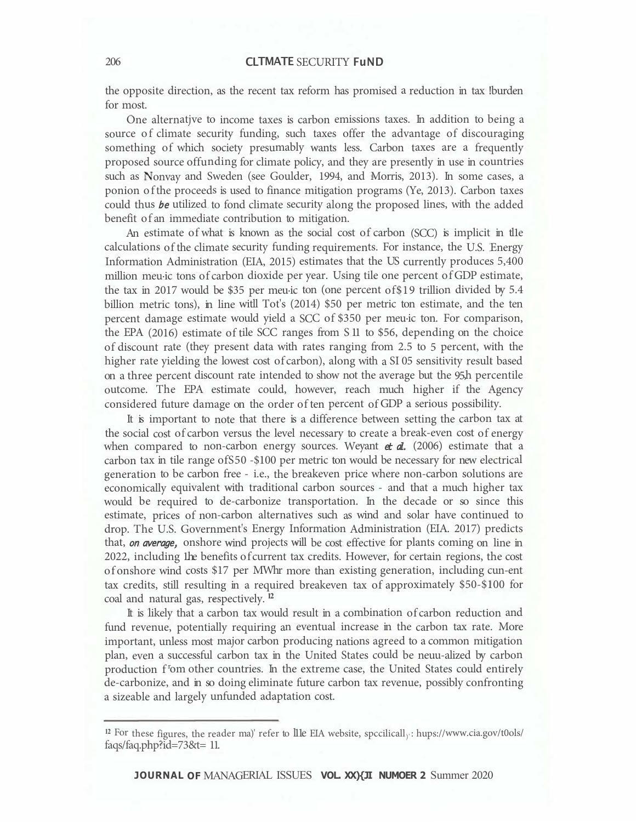the opposite direction, as the recent tax reform has promised a reduction in tax !burden for most.

One alternatjve to income taxes is carbon emissions taxes. In addition to being a source of climate security funding, such taxes offer the advantage of discouraging something of which society presumably wants less. Carbon taxes are a frequently proposed source offunding for climate policy, and they are presently in use in countries such as Nonvay and Sweden (see Goulder, 1994, and Morris, 2013). In some cases, a ponion of the proceeds is used to finance mitigation programs (Ye, 2013). Carbon taxes could thus be utilized to fond climate security along the proposed lines, with the added benefit of an immediate contribution to mitigation.

An estimate of what is known as the social cost of carbon (SCC) is implicit in the calculations of the climate security funding requirements. For instance, the U.S. Energy Information Administration (EIA, 2015) estimates that the US currently produces 5,400 million meu·ic tons of carbon dioxide per year. Using tile one percent of GDP estimate, the tax in 2017 would be \$35 per meu·ic ton (one percent of\$19 trillion divided by 5.4 billion metric tons), in line witll Tot's (2014) \$50 per metric ton estimate, and the ten percent damage estimate would yield a SCC of \$350 per meu·ic ton. For comparison, the EPA (2016) estimate of tile SCC ranges from S 11 to \$56, depending on the choice of discount rate (they present data with rates ranging from 2.5 to 5 percent, with the higher rate yielding the lowest cost of carbon), along with a SI 05 sensitivity result based on a three percent discount rate intended to show not the average but the 95,h percentile outcome. The EPA estimate could, however, reach much higher if the Agency considered future damage on the order of ten percent of GDP a serious possibility.

It is important to note that there is a difference between setting the carbon tax at the social cost of carbon versus the level necessary to create a break-even cost of energy when compared to non-carbon energy sources. Weyant  $et \, d$ . (2006) estimate that a carbon tax in tile range ofS50 -\$100 per metric ton would be necessary for new electrical generation to be carbon free - i.e., the breakeven price where non-carbon solutions are economically equivalent with traditional carbon sources - and that a much higher tax would be required to de-carbonize transportation. In the decade or so since this estimate, prices of non-carbon alternatives such as wind and solar have continued to drop. The U.S. Government's Energy Information Administration (EIA. 2017) predicts that, *on average*, onshore wind projects will be cost effective for plants coming on line in 2022, including 1he benefits of current tax credits. However, for certain regions, the cost of onshore wind costs \$17 per MWhr more than existing generation, including cun-ent tax credits, still resulting in a required breakeven tax of approximately \$50-\$100 for coal and natural gas, respectively. **<sup>12</sup>**

It is likely that a carbon tax would result in a combination of carbon reduction and fund revenue, potentially requiring an eventual increase in the carbon tax rate. More important, unless most major carbon producing nations agreed to a common mitigation plan, even a successful carbon tax in the United States could be neuu-alized by carbon production f<sup>r</sup>om other countries. In the extreme case, the United States could entirely de-carbonize, and in so doing eliminate future carbon tax revenue, possibly confronting a sizeable and largely unfunded adaptation cost.

**JOURNAL OF** MANAGERIAL ISSUES **VOL. XX){JI NUMOER 2** Summer 2020

<sup>&</sup>lt;sup>12</sup> For these figures, the reader ma)' refer to llle EIA website, spccilicall<sub>)</sub>: hups://www.cia.gov/t0ols/ faqs/faq.php?id=73&t= 11.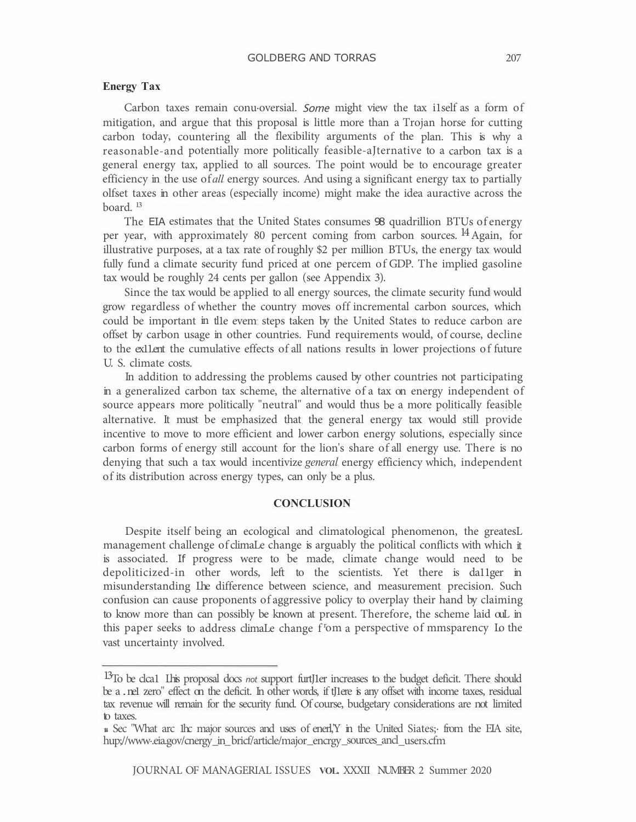## GOLDBERG AND TORRAS 207

#### **Energy Tax**

Carbon taxes remain conu·oversial. Some might view the tax i1self as a form of mitigation, and argue that this proposal is little more than a Trojan horse for cutting carbon today, countering all the flexibility arguments of the plan. This is why a reasonable-and potentially more politically feasible-aJternative to a carbon tax is a general energy tax, applied to all sources. The point would be to encourage greater efficiency in the use of *all* energy sources. And using a significant energy tax to partially olfset taxes in other areas (especially income) might make the idea auractive across the board. <sup>13</sup>

The EIA estimates that the United States consumes 98 quadrillion BTUs of energy per year, with approximately 80 percent coming from carbon sources. <sup>14</sup> Again, for illustrative purposes, at a tax rate of roughly \$2 per million BTUs, the energy tax would fully fund a climate security fund priced at one percem of GDP. The implied gasoline tax would be roughly 24 cents per gallon (see Appendix 3).

Since the tax would be applied to all energy sources, the climate security fund would grow regardless of whether the country moves off incremental carbon sources, which could be important in tlle evem steps taken by the United States to reduce carbon are offset by carbon usage in other countries. Fund requirements would, of course, decline to the ex11.ent the cumulative effects of all nations results in lower projections of future U. S. climate costs.

In addition to addressing the problems caused by other countries not participating in a generalized carbon tax scheme, the alternative of a tax on energy independent of source appears more politically "neutral" and would thus be a more politically feasible alternative. It must be emphasized that the general energy tax would still provide incentive to move to more efficient and lower carbon energy solutions, especially since carbon forms of energy still account for the lion's share of all energy use. There is no denying that such a tax would incentivize *general* energy efficiency which, independent of its distribution across energy types, can only be a plus.

## **CONCLUSION**

Despite itself being an ecological and climatological phenomenon, the greatesL management challenge of climaLe change is arguably the political conflicts with which it is associated. If progress were to be made, climate change would need to be depoliticized-in other words, left to the scientists. Yet there is da11ger in misunderstanding Lhe difference between science, and measurement precision. Such confusion can cause proponents of aggressive policy to overplay their hand by claiming to know more than can possibly be known at present. Therefore, the scheme laid ouL in this paper seeks to address climaLe change f <sup>r</sup>om a perspective of mmsparency Lo the vast uncertainty involved.

<sup>13</sup> To be clca1 Lhis proposal docs *not* support furtJ1er increases to the budget deficit. There should be a . ne1 zero" effect on the deficit. In other words, if tJ1ere is any offset with income taxes, residual tax revenue will remain for the security fund. Of course, budgetary considerations are not limited to taxes.

**<sup>14</sup>**Sec "What arc 1hc major sources and uses of enerl,'Y in the United Siates;· from the EIA site, hup;//www.eia.gov/cnergy\_in\_bricf/article/major\_encrgy\_sources\_ancl\_users.cfm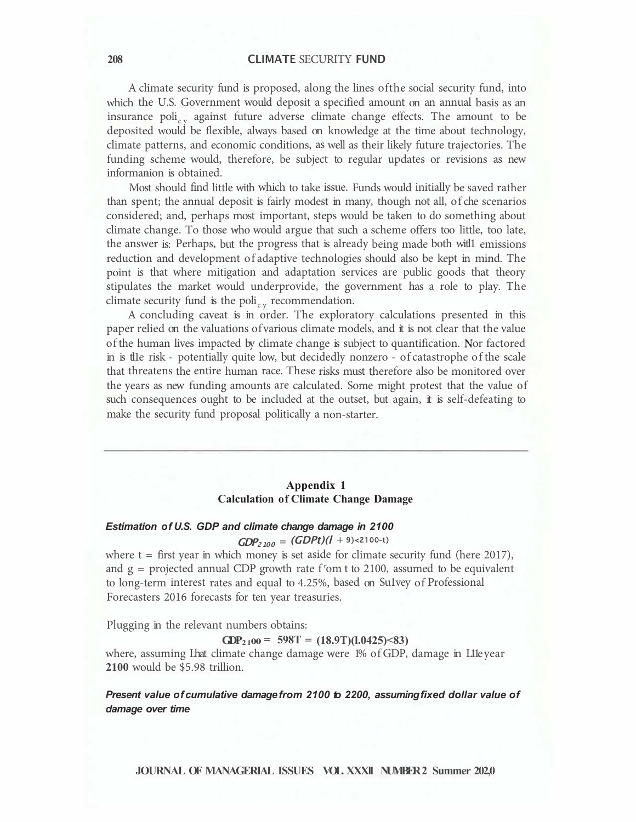A climate security fund is proposed, along the lines ofthe social security fund, into which the U.S. Government would deposit a specified amount on an annual basis as an insurance poli<sub>cy</sub> against future adverse climate change effects. The amount to be deposited would be flexible, always based on knowledge at the time about technology, climate patterns, and economic conditions, as well as their likely future trajectories. The funding scheme would, therefore, be subject to regular updates or revisions as new informanion is obtained.

Most should find little with which to take issue. Funds would initially be saved rather than spent; the annual deposit is fairly modest in many, though not all, of che scenarios considered; and, perhaps most important, steps would be taken to do something about climate change. To those who would argue that such a scheme offers too little, too late, the answer is: Perhaps, but the progress that is already being made both witl1 emissions reduction and development of adaptive technologies should also be kept in mind. The point is that where mitigation and adaptation services are public goods that theory stipulates the market would underprovide, the government has a role to play. The climate security fund is the poli<sub>cy</sub> recommendation.

A concluding caveat is in order. The exploratory calculations presented in this paper relied on the valuations of various climate models, and it is not clear that the value of the human lives impacted by climate change is subject to quantification. Nor factored in is tl1e risk - potentially quite low, but decidedly nonzero - of catastrophe of the scale that threatens the entire human race. These risks must therefore also be monitored over the years as new funding amounts are calculated. Some might protest that the value of such consequences ought to be included at the outset, but again, it is self-defeating to make the security fund proposal politically a non-starter.

## **Appendix 1 Calculation of Climate Change Damage**

# *Estimation of U.S. GDP and climate change damage in 2100*

# $GDP<sub>2100</sub> = (GDPt)(1 + 9) < 2100-t$

where  $t =$  first year in which money is set aside for climate security fund (here 2017), and  $g =$  projected annual CDP growth rate  $f$ <sup>r</sup>om t to 2100, assumed to be equivalent to long-term interest rates and equal to 4.25%, based on Su1vey of Professional Forecasters 2016 forecasts for ten year treasuries.

Plugging in the relevant numbers obtains:

GDP<sub>2</sub><sub>100</sub> = 598T =  $(18.9T)(1.0425)$  < 83)

where, assuming Lhat climate change damage were 1% of GDP, damage in L11e year **2100** would be \$5.98 trillion.

*Present value of cumulative damage from 2100 to 2200, assuming fixed dollar value of damage over time* 

**JOURNAL OF MANAGERIAL ISSUES VOL. XXXll NUMBER 2 Summer 202,0**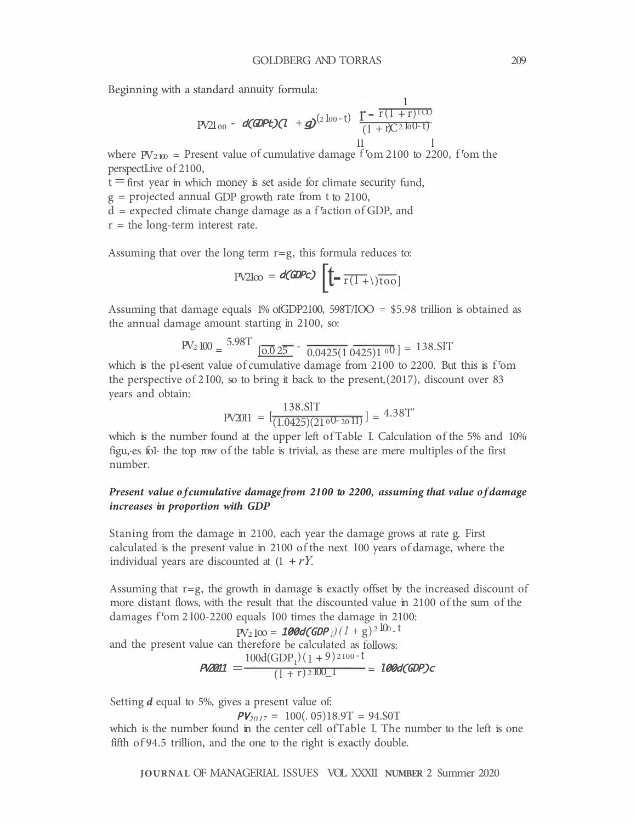Beginning with a standard annuity formula:

$$
\text{PV21}_{00} - d(\text{GDP}t)(1 + g)^{(2 \log t)} \quad \frac{1}{(1 + r)^{(2 \log t)}} - \frac{1}{(1 + r)^{(2 \log t)}} = 1
$$

where  $PV_{2100}$  = Present value of cumulative damage f<sup>1</sup>om 2100 to 2200, f<sup>1</sup>om the perspectLive of 2100,

 $t =$  first year in which money is set aside for climate security fund,

g = projected annual GDP growth rate from t to 2100,

d = expected climate change damage as a f <sup>r</sup> action of GDP, and

 $r =$  the long-term interest rate.

Assuming that over the long term  $r = g$ , this formula reduces to:

$$
PV2\text{log} = d(\text{GDPc}) \left[ \left( -\frac{1}{r(1+\lambda)} \right) \frac{1}{r(1+\lambda)} \right]
$$

Assuming that damage equals 1% ofGDP2100, 598T/IOO = \$5.98 trillion is obtained as the annual damage amount starting in 2100, so:

$$
PV_2 100 = \frac{5.98T}{0.025} - \frac{0.0425(1.0425)100}{0.0425(1.0425)100} = 138.ST
$$

which is the p1·esent value of cumulative damage from 2100 to 2200. But this is f <sup>r</sup>om the perspective of  $2100$ , so to bring it back to the present.(2017), discount over 83 years and obtain:

$$
PV2011 = \left[\frac{138.ST}{(1.0425)(21^{00-20}11)}\right] = 4.38T'
$$

which is the number found at the upper left of Table I. Calculation of the 5% and 10% figu, es fol the top row of the table is trivial, as these are mere multiples of the first number.

## *Present value of cumulative damage from 2100 to 2200, assuming that value of damage increases in proportion with GDP*

Staning from the damage in 2100, each year the damage grows at rate g. First calculated is the present value in 2100 of the next I00 years of damage, where the individual years are discounted at  $(1 + rY)$ .

Assuming that  $r = g$ , the growth in damage is exactly offset by the increased discount of more distant flows, with the result that the discounted value in 2100 of the sum of the damages f<sup>r</sup>om 2 I00-2200 equals I00 times the damage in 2100:

$$
PV_2 \log_{100} = 100d(GDP_1)/(1+g)^{2 \text{ 100} \text{ L}}
$$
  
and the present value can therefore be calculated as follows:  

$$
PV2011 = \frac{100d(GDP_1)(1+9)^{2 \text{ 100} - 1}}{(1+r)^{2 \text{ 100} \text{ L}}} = 100d(GDP)c
$$

Setting *d* equal to 5%, gives a present value of:

 $PV_{2017} = 100(.05)18.9T = 94.80T$ 

which is the number found in the center cell ofTable I. The number to the left is one fifth of 94.5 trillion, and the one to the right is exactly double.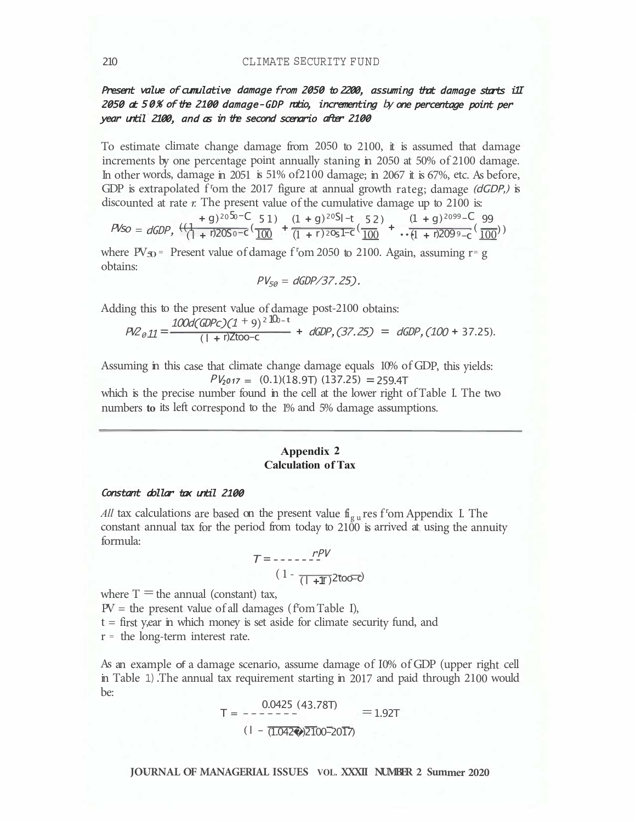# Present value of cumulative damage from 2050 to 2200, assuming that damage starts i1I 2050 at 50% of the 2100 damage-GDP ratio, incrementing by one percentage point per year until 2100, and as in the second scenario after 2100

To estimate climate change damage from 2050 to 2100, it is assumed that damage increments by one percentage point annually staning in 2050 at 50% of 2100 damage. In other words, damage in 2051 is 51% of2100 damage; in 2067 it is 67%, etc. As before, GDP is extrapolated f<sup>r</sup>om the 2017 figure at annual growth rateg; damage *(dGDP,)* is discounted at rate *r.* The present value of the cumulative damage up to 2100 is:

$$
P\text{Kso} = dGDP, \frac{+q^{3050-C} - 51}{+r^{2050-C}} \cdot \frac{(1+q)^{2051-C} - 52}{(1+r^{2051-C})} \cdot \frac{(1+q)^{2099-C} - 99}{(1+r^{2051-C})} \cdot \frac{(1+q)^{2099-C} - 99}{(1+r^{2051-C})} \cdot \frac{(1+q)^{2099-C} - 99}{(1+r^{2051-C})} \cdot \frac{(1+q)^{2099-C} - 99}{(1+r^{2051-C})} \cdot \frac{(1+q)^{2099-C} - 99}{(1+r^{2051-C})} \cdot \frac{(1+q)^{2099-C} - 99}{(1+r^{2051-C})} \cdot \frac{(1+q)^{2099-C} - 99}{(1+r^{2051-C})} \cdot \frac{(1+q)^{2099-C} - 99}{(1+r^{2051-C})} \cdot \frac{(1+q)^{2099-C} - 99}{(1+r^{2051-C})} \cdot \frac{(1+q)^{2099-C} - 99}{(1+r^{2051-C})} \cdot \frac{(1+q)^{2099-C} - 99}{(1+r^{2051-C})} \cdot \frac{(1+q)^{2099-C} - 99}{(1+r^{2051-C})} \cdot \frac{(1+q)^{2099-C} - 99}{(1+r^{2051-C})} \cdot \frac{(1+q)^{2099-C} - 99}{(1+r^{2051-C})} \cdot \frac{(1+q)^{2099-C} - 99}{(1+r^{2051-C})} \cdot \frac{(1+q)^{2099-C} - 99}{(1+r^{205C})} \cdot \frac{(1+q)^{2099-C} - 99}{(1+r^{205C})} \cdot \frac{(1+q)^{2099-C} - 99}{(1+r^{205C})} \cdot \frac{(1+q)^{2099-C} - 99}{(1+r^{205C})} \cdot \frac{(1+q)^{2099-C} - 99}{(1+q)^{2099-C}} \cdot \frac{(1+q)^{2099-C} - 99}{(1+q)^{2099-C}} \cdot \frac{(1+q)^{2099-C} - 9
$$

where  $PV_{30}$  = Present value of damage f<sup>r</sup>om 2050 to 2100. Again, assuming r= g obtains:

$$
PV_{50} = dGDP/37.25).
$$

Adding this to the present value of damage post-2100 obtains:

$$
P_{Q011} = \frac{100d(GDPc)(1+9)^{2}10b-t}{(1+r)200-c} + dGDP, (37.25) = dGDP, (100+37.25).
$$

Assuming in this case that climate change damage equals 10% of GDP, this yields:  $PV_{2017} = (0.1)(18.9T) (137.25) = 259.4T$ 

which is the precise number found in the cell at the lower right of Table I. The two numbers **to** its left correspond to the 1% and 5% damage assumptions.

## **Appendix 2 Calculation of Tax**

#### Constant dollar tax until 2100

*All* tax calculations are based on the present value  $f{f}_{gu}$  res f<sup>r</sup>om Appendix I. The constant annual tax for the period from today to 2100 is arrived at using the annuity formula:

$$
T = \frac{rPV}{(1 - \frac{1}{(1 + \frac{1}{2})})^2 \cdot 20000}
$$

where  $T =$  the annual (constant) tax,

 $PV =$  the present value of all damages (f<sup>r</sup>om Table I),

t = first y,ear in which money is set aside for climate security fund, and

 $r =$  the long-term interest rate.

As an example of a damage scenario, assume damage of I0% of GDP (upper right cell in Table 1). The annual tax requirement starting in 2017 and paid through 2100 would be:

$$
T = \frac{0.0425 (43.78T)}{-1.92T}
$$
  
(1 -  $\overline{(1.0420)2100-2017}$ ) = 1.92T

**JOURNAL OF MANAGERIAL ISSUES VOL. XXXII NUMBER 2 Summer 2020**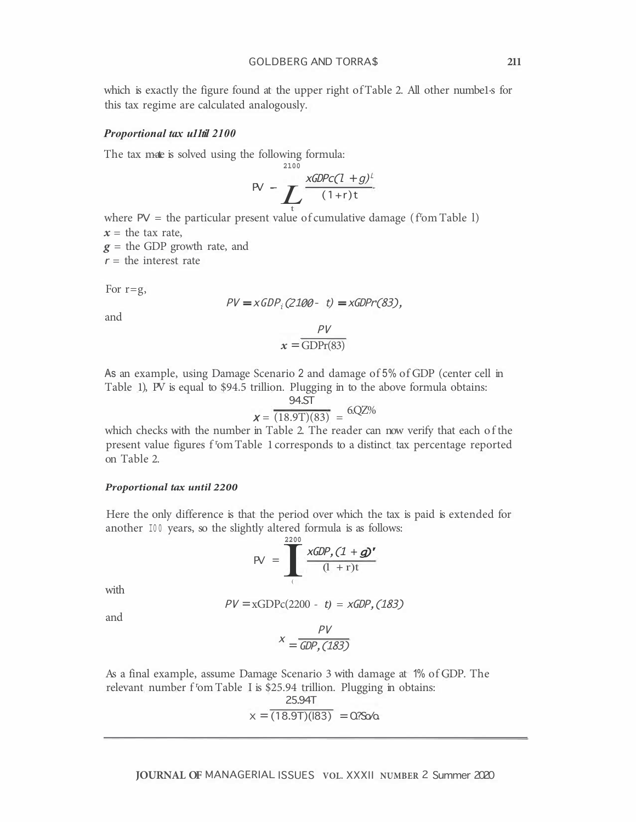which is exactly the figure found at the upper right of Table 2. All other numbe1·s for this tax regime are calculated analogously.

#### *Proportional tax u11til 2100*

The tax mate is solved using the following formula:

$$
PV = \sum_{t} \frac{xGDPc(1+g)^{t}}{(1+r)t}
$$

where  $PV =$  the particular present value of cumulative damage ( $f$ om Table 1)  $x =$  the tax rate,

**2100** 

*g* = the GDP growth rate, and

 $r =$  the interest rate

For  $r = g$ ,

$$
PV = xGDPi(2100 - t) = xGDPr(83),
$$

and

$$
x = \frac{PV}{GDPr(83)}
$$

 $PIZ$ 

As an example, using Damage Scenario 2 and damage of 5% of GDP (center cell in Table 1), PV is equal to \$94.5 trillion. Plugging in to the above formula obtains:

$$
x = \frac{94.5T}{(18.9T)(83)} = 6.02\%
$$

which checks with the number in Table 2. The reader can now verify that each of the present value figures f<sup>r</sup>om Table 1 corresponds to a distinct tax percentage reported on Table 2.

#### *Proportional tax until 2200*

Here the only difference is that the period over which the tax is paid is extended for another 100 years, so the slightly altered formula is as follows:

$$
PV = \frac{\frac{2200}{200}}{\frac{200}{4} + r(t)}
$$

with

$$
PV = xGDPc(2200 - t) = xGDP, (183)
$$

and

$$
X = \frac{PV}{GDP, (183)}
$$

As a final example, assume Damage Scenario 3 with damage at 1% of GDP. The relevant number f<sup>r</sup>om Table I is \$25.94 trillion. Plugging in obtains:

$$
x = \frac{25.94T}{(18.9T)(183)} = 0.750/0
$$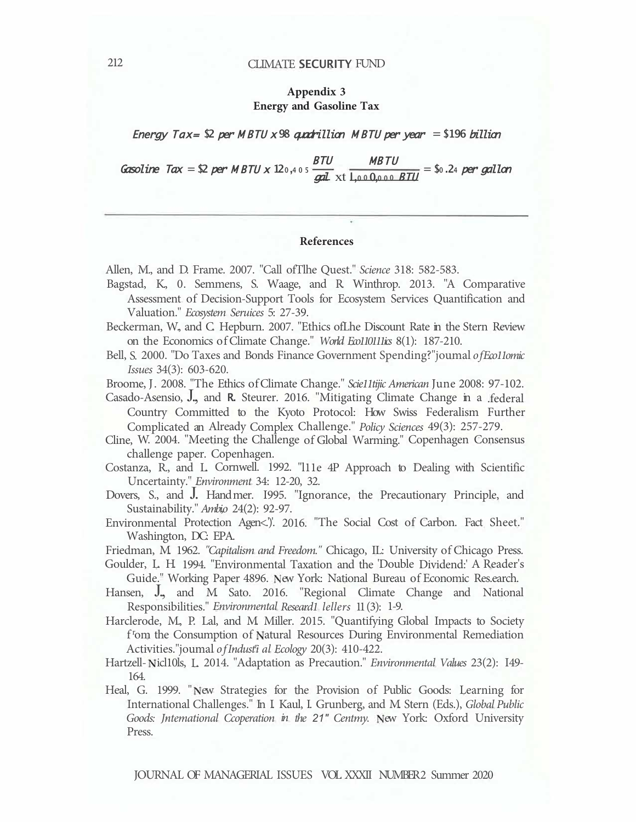# **Appendix 3 Energy and Gasoline Tax**

Energy Tax=  $\Omega$  per M BTU x 98 quadrillion M BTU per year = \$196 billion

 $\frac{G}{D}$  Gasoline  $Tax = $2$  per  $MBTU \times 12_{0,405} \frac{BTU}{gal} \times t \frac{MBTU}{l,000,000} \frac{BTU}{BTU} = $0.24$  per gallon

## **References**

Allen, M., and D. Frame. 2007. "Call ofTlhe Quest." *Science* 318: 582-583.

- Bagstad, K., 0. Semmens, S. Waage, and R. Winthrop. 2013. "A Comparative Assessment of Decision-Support Tools for Ecosystem Services Quantification and Valuation." *Ecosystem Seruices* 5: 27-39.
- Beckerman, W., and C. Hepburn. 2007. "Ethics ofLhe Discount Rate in the Stern Review on the Economics of Climate Change." *World Eco110111ics* 8(1): 187-210.
- Bell, S. 2000. "Do Taxes and Bonds Finance Government Spending?"joumal *of Eco11omic Issues* 34(3): 603-620.
- Broome, J. 2008. "The Ethics of Climate Change." *Scie11tijic American* June 2008: 97-102.

Casado-Asensio, J., and **R.** Steurer. 2016. "Mitigating Climate Change in a .federal Country Committed to the Kyoto Protocol: How Swiss Federalism Further Complicated an Already Complex Challenge." *Policy Sciences* 49(3): 257-279.

Cline, W. 2004. "Meeting the Challenge of Global Warming." Copenhagen Consensus challenge paper. Copenhagen.

Costanza, R., and L. Cornwell. 1992. "l11e 4P Approach to Dealing with Scientific Uncertainty." *Environment* 34: 12-20, 32.

- Dovers, S., and J. Hand mer. 1995. "Ignorance, the Precautionary Principle, and Sustainability." *Ambi,o* 24(2): 92-97.
- Environmental Protection Agen<.'). 2016. "The Social Cost of Carbon. Fact Sheet." Washington, DC: EPA.

Friedman, M. 1962. *"Capitalism and Freedom."* Chicago, IL: University of Chicago Press.

Goulder, L. H. 1994. "Environmental Taxation and the 'Double Dividend:' A Reader's Guide." Working Paper 4896. New York: National Bureau of Economic Res.earch.

Hansen, J., and M. Sato. 2016. "Regional Climate Change and National Responsibilities." *Environmental Researd1 lellers* 11 (3): 1-9.

Harclerode, M., P. Lal, and M. Miller. 2015. "Quantifying Global Impacts to Society f<sup>r</sup>om the Consumption of Natural Resources During Environmental Remediation Activities."joumal *of Indust<sup>r</sup> i al Ecology* 20(3): 410-422.

- Hartzell-Nicl10ls, L. 2014. "Adaptation as Precaution." *Environmental Values* 23(2): I49-164.
- Heal, G. 1999. "New Strategies for the Provision of Public Goods: Learning for International Challenges." In I. Kaul, I. Grunberg, and M. Stern (Eds.), *Global Public Goods: Jntemational Ccoperation in the 21" Centmy. New York: Oxford University* Press.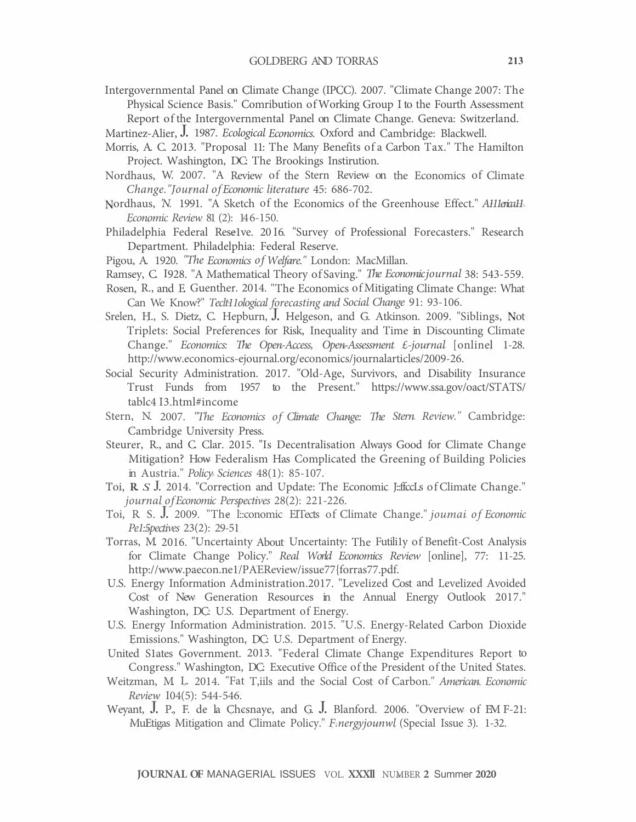Intergovernmental Panel on Climate Change (IPCC). 2007. "Climate Change 2007: The Physical Science Basis." Comribution of Working Group I to the Fourth Assessment Report of the Intergovernmental Panel on Climate Change. Geneva: Switzerland.

Martinez-Alier, J. 1987. *Ecological Economics.* Oxford and Cambridge: Blackwell.

- Morris, A. C. 2013. "Proposal 11: The Many Benefits of a Carbon Tax." The Hamilton Project. Washington, DC: The Brookings Instirution.
- Nordhaus, W. 2007. "A Review of the Stern Review on the Economics of Climate *Change."Journal of Economic literature* 45: 686-702.
- Nordhaus, *N.* 1991. "A Sketch of the Economics of the Greenhouse Effect." *A111erica11 Economic Review* 81 (2): 14 6-150.
- Philadelphia Federal Rese1ve. 2016. "Survey of Professional Forecasters." Research Department. Philadelphia: Federal Reserve.
- Pigou, A. 1920. *"The Economics of Welfare."* London: MacMillan.
- Ramsey, C. 1928. "A Mathematical Theory of Saving." *The Economic journal* 38: 543-559.
- Rosen, R., and E. Guenther. 2014. "The Economics of Mitigating Climate Change: What Can We Know?" *Teclt11ological forecasting and Social Change* 91: 93-106.
- Srelen, H., S. Dietz, C. Hepburn, J. Helgeson, and G. Atkinson. 2009. "Siblings, Not Triplets: Social Preferences for Risk, Inequality and Time in Discounting Climate Change." *Economics: The Open-Access, Open-Assessment £-journal* [onlinel 1-28. http://www.economics-ejournal.org/economics/journalarticles/2009-26.
- Social Security Administration. 2017. "Old-Age, Survivors, and Disability Insurance Trust Funds from 1957 to the Present." https://www.ssa.gov/oact/STATS/ tablc4 I3.html#income
- Stern, N. 2007. *"The Economics of Climate Change: The Stern Review."* Cambridge: Cambridge University Press.
- Steurer, R., and C. Clar. 2015. "Is Decentralisation Always Good for Climate Change Mitigation? How Federalism Has Complicated the Greening of Building Policies in Austria." *Policy Sciences* 48(1): 85-107.
- Toi, **R.** *S.* J. 2014. "Correction and Update: The Economic J::ffccLs of Climate Change." *journal of Economic Perspectives* 28(2): 221-226.
- Toi, R. S. J. 2009. "The l::conomic EITects of Climate Change." *joumai of Economic Pe1:5pectives* 23(2): 29-51
- Torras, M. 2016. "Uncertainty About Uncertainty: The Futili1y of Benefit-Cost Analysis for Climate Change Policy." *Real World Economics Review* [online], 77: 11-25. http://www.paecon.ne1/PAEReview/issue77{forras77.pdf.
- U.S. Energy Information Administration.2017. "Levelized Cost and Levelized Avoided Cost of New Generation Resources in the Annual Energy Outlook 2017." Washington, DC: U.S. Department of Energy.
- U.S. Energy Information Administration. 2015. "U.S. Energy-Related Carbon Dioxide Emissions." Washington, DC: U.S. Department of Energy.
- United S1ates Government. 2013. "Federal Climate Change Expenditures Report to Congress." Washington, DC: Executive Office of the President of the United States.
- Weitzman, M. L. 2014. "Fat T,iils and the Social Cost of Carbon." *American Economic Review 104(5): 544-546.*
- Weyant, J. P., F. de la Chcsnaye, and G. J. Blanford. 2006. "Overview of EM F-21: MuEtigas Mitigation and Climate Policy." *F.nergyjounwl* (Special Issue 3). 1-32.